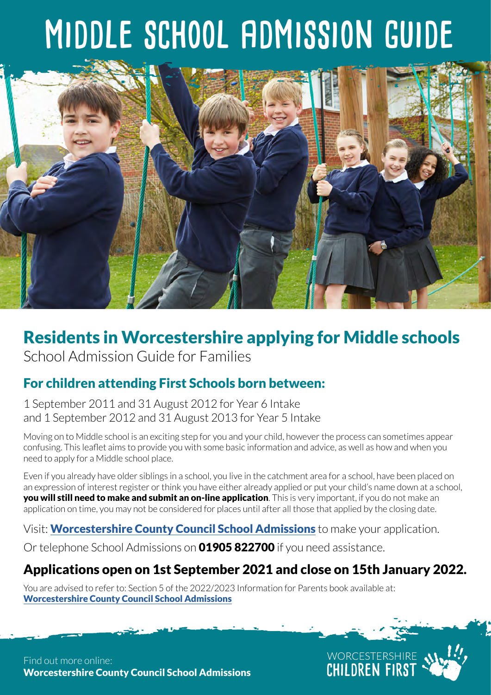# **middle school admission guide**



# Residents in Worcestershire applying for Middle schools School Admission Guide for Families

## For children attending First Schools born between:

1 September 2011 and 31 August 2012 for Year 6 Intake and 1 September 2012 and 31 August 2013 for Year 5 Intake

Moving on to Middle school is an exciting step for you and your child, however the process can sometimes appear confusing. This leaflet aims to provide you with some basic information and advice, as well as how and when you need to apply for a Middle school place.

Even if you already have older siblings in a school, you live in the catchment area for a school, have been placed on an expression of interest register or think you have either already applied or put your child's name down at a school, **you will still need to make and submit an on-line application**. This is very important, if you do not make an application on time, you may not be considered for places until after all those that applied by the closing date.

Visit: [Worcestershire County Council School Admissions](http://www.worcestershire.gov.uk/schooladmissions) to make your application.

Or telephone School Admissions on **01905 822700** if you need assistance.

## Applications open on 1st September 2021 and close on 15th January 2022.

WORCESTERSHIRE<br>CHILDREN FIRST

You are advised to refer to: Section 5 of the 2022/2023 Information for Parents book available at: [Worcestershire County Council School Admissions](http://www.worcestershire.gov.uk/schooladmissions)

Find out more online: [Worcestershire County Council School Admissions](http://www.worcestershire.gov.uk/schooladmissions)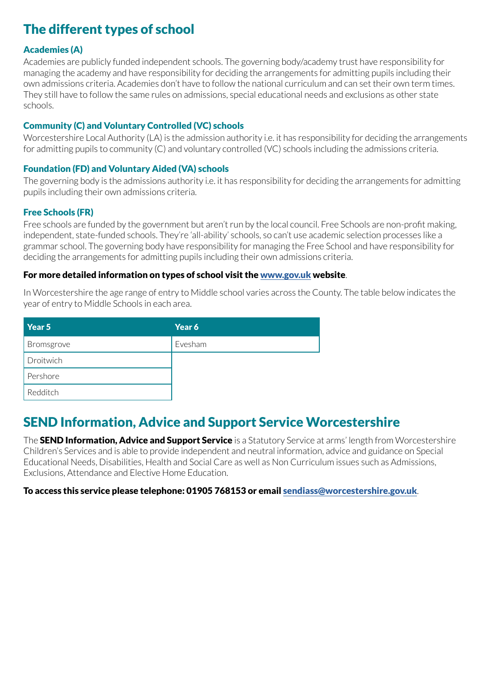# The different types of school

#### Academies (A)

Academies are publicly funded independent schools. The governing body/academy trust have responsibility for managing the academy and have responsibility for deciding the arrangements for admitting pupils including their own admissions criteria. Academies don't have to follow the national curriculum and can set their own term times. They still have to follow the same rules on admissions, special educational needs and exclusions as other state schools.

#### Community (C) and Voluntary Controlled (VC) schools

Worcestershire Local Authority (LA) is the admission authority i.e. it has responsibility for deciding the arrangements for admitting pupils to community (C) and voluntary controlled (VC) schools including the admissions criteria.

#### Foundation (FD) and Voluntary Aided (VA) schools

The governing body is the admissions authority i.e. it has responsibility for deciding the arrangements for admitting pupils including their own admissions criteria.

#### Free Schools (FR)

Free schools are funded by the government but aren't run by the local council. Free Schools are non-profit making, independent, state-funded schools. They're 'all-ability' schools, so can't use academic selection processes like a grammar school. The governing body have responsibility for managing the Free School and have responsibility for deciding the arrangements for admitting pupils including their own admissions criteria.

#### For more detailed information on types of school visit the [www.gov.uk](http://www.gov.uk) website.

In Worcestershire the age range of entry to Middle school varies across the County. The table below indicates the year of entry to Middle Schools in each area.

| Year 5     | Year 6  |
|------------|---------|
| Bromsgrove | Evesham |
| Droitwich  |         |
| Pershore   |         |
| Redditch   |         |

## SEND Information, Advice and Support Service Worcestershire

The SEND Information, Advice and Support Service is a Statutory Service at arms' length from Worcestershire Children's Services and is able to provide independent and neutral information, advice and guidance on Special Educational Needs, Disabilities, Health and Social Care as well as Non Curriculum issues such as Admissions, Exclusions, Attendance and Elective Home Education.

#### To access this service please telephone: 01905 768153 or email [sendiass@worcestershire.gov.uk](mailto:sendiass%40worcestershire.gov.uk?subject=).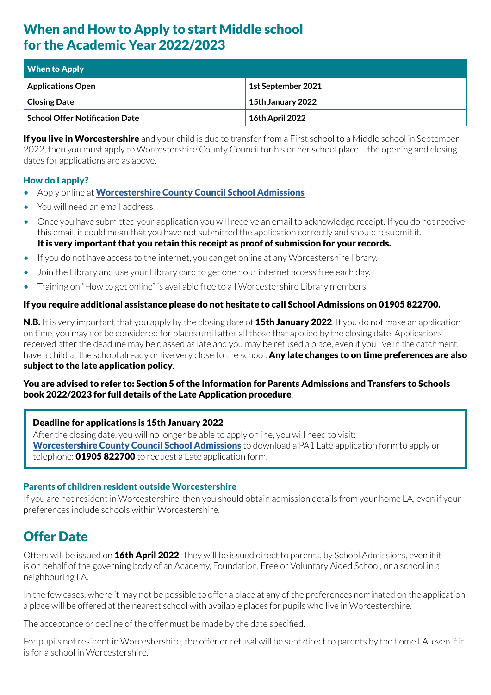## When and How to Apply to start Middle school for the Academic Year 2022/2023

| <b>When to Apply</b>                  |                        |
|---------------------------------------|------------------------|
| <b>Applications Open</b>              | 1st September 2021     |
| <b>Closing Date</b>                   | 15th January 2022      |
| <b>School Offer Notification Date</b> | <b>16th April 2022</b> |

If you live in Worcestershire and your child is due to transfer from a First school to a Middle school in September 2022, then you must apply to Worcestershire County Council for his or her school place – the opening and closing dates for applications are as above.

#### How do I apply?

- Apply online at [Worcestershire County Council School Admissions](http://www.worcestershire.gov.uk/schooladmissions)
- You will need an email address
- Once you have submitted your application you will receive an email to acknowledge receipt. If you do not receive this email, it could mean that you have not submitted the application correctly and should resubmit it. It is very important that you retain this receipt as proof of submission for your records.
- If you do not have access to the internet, you can get online at any Worcestershire library.
- Join the Library and use your Library card to get one hour internet access free each day.
- Training on "How to get online" is available free to all Worcestershire Library members.

#### If you require additional assistance please do not hesitate to call School Admissions on 01905 822700.

N.B. It is very important that you apply by the closing date of 15th January 2022. If you do not make an application on time, you may not be considered for places until after all those that applied by the closing date. Applications received after the deadline may be classed as late and you may be refused a place, even if you live in the catchment, have a child at the school already or live very close to the school. Any late changes to on time preferences are also subject to the late application policy.

#### You are advised to refer to: Section 5 of the Information for Parents Admissions and Transfers to Schools book 2022/2023 for full details of the Late Application procedure.

#### Deadline for applications is 15th January 2022

After the closing date, you will no longer be able to apply online, you will need to visit: [Worcestershire County Council School Admissions](http://www.worcestershire.gov.uk/schooladmissions) to download a PA1 Late application form to apply or telephone: **01905 822700** to request a Late application form.

#### Parents of children resident outside Worcestershire

If you are not resident in Worcestershire, then you should obtain admission details from your home LA, even if your preferences include schools within Worcestershire.

## Offer Date

Offers will be issued on **16th April 2022**. They will be issued direct to parents, by School Admissions, even if it is on behalf of the governing body of an Academy, Foundation, Free or Voluntary Aided School, or a school in a neighbouring LA.

In the few cases, where it may not be possible to offer a place at any of the preferences nominated on the application, a place will be offered at the nearest school with available places for pupils who live in Worcestershire.

The acceptance or decline of the offer must be made by the date specified.

For pupils not resident in Worcestershire, the offer or refusal will be sent direct to parents by the home LA, even if it is for a school in Worcestershire.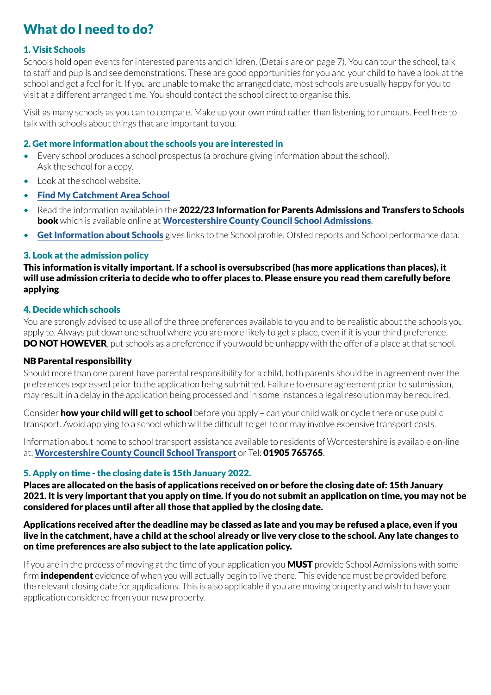# What do I need to do?

#### 1. Visit Schools

Schools hold open events for interested parents and children. (Details are on page 7). You can tour the school, talk to staff and pupils and see demonstrations. These are good opportunities for you and your child to have a look at the school and get a feel for it. If you are unable to make the arranged date, most schools are usually happy for you to visit at a different arranged time. You should contact the school direct to organise this.

Visit as many schools as you can to compare. Make up your own mind rather than listening to rumours. Feel free to talk with schools about things that are important to you.

#### 2. Get more information about the schools you are interested in

- Every school produces a school prospectus (a brochure giving information about the school). Ask the school for a copy.
- Look at the school website.
- [Find My Catchment Area School](https://capublic.worcestershire.gov.uk/SchoolSearchPublic/?_ga=2.80738206.843052486.1626887860-1191537832.1612861233)
- Read the information available in the 2022/23 Information for Parents Admissions and Transfers to Schools book which is available online at [Worcestershire County Council School Admissions](http://www.worcestershire.gov.uk/schooladmissions).
- [Get Information about Schools](https://www.get-information-schools.service.gov.uk/) gives links to the School profile, Ofsted reports and School performance data.

#### 3. Look at the admission policy

This information is vitally important. If a school is oversubscribed (has more applications than places), it will use admission criteria to decide who to offer places to. Please ensure you read them carefully before applying.

#### 4. Decide which schools

You are strongly advised to use all of the three preferences available to you and to be realistic about the schools you apply to. Always put down one school where you are more likely to get a place, even if it is your third preference. **DO NOT HOWEVER**, put schools as a preference if you would be unhappy with the offer of a place at that school.

#### NB Parental responsibility

Should more than one parent have parental responsibility for a child, both parents should be in agreement over the preferences expressed prior to the application being submitted. Failure to ensure agreement prior to submission, may result in a delay in the application being processed and in some instances a legal resolution may be required.

Consider **how your child will get to school** before you apply – can your child walk or cycle there or use public transport. Avoid applying to a school which will be difficult to get to or may involve expensive transport costs.

Information about home to school transport assistance available to residents of Worcestershire is available on-line at: [Worcestershire County Council School Transport](http://www.worcestershire.gov.uk/homepage/18/school_and_college_transport ) or Tel: 01905 765765.

#### 5. Apply on time - the closing date is 15th January 2022.

Places are allocated on the basis of applications received on or before the closing date of: 15th January 2021. It is very important that you apply on time. If you do not submit an application on time, you may not be considered for places until after all those that applied by the closing date.

Applications received after the deadline may be classed as late and you may be refused a place, even if you live in the catchment, have a child at the school already or live very close to the school. Any late changes to on time preferences are also subject to the late application policy.

If you are in the process of moving at the time of your application you **MUST** provide School Admissions with some firm **independent** evidence of when you will actually begin to live there. This evidence must be provided before the relevant closing date for applications. This is also applicable if you are moving property and wish to have your application considered from your new property.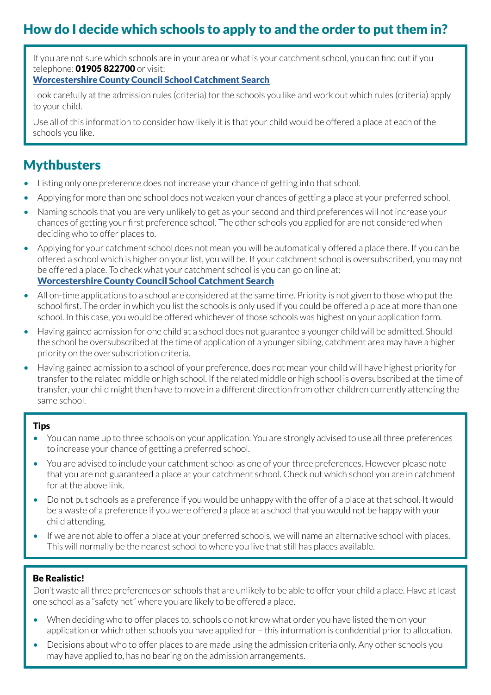# How do I decide which schools to apply to and the order to put them in?

If you are not sure which schools are in your area or what is your catchment school, you can find out if you telephone: **01905 822700** or visit:

#### [Worcestershire County Council School Catchment Search](https://www.worcestershire.gov.uk/info/20062/schools/2098/find_a_school)

Look carefully at the admission rules (criteria) for the schools you like and work out which rules (criteria) apply to your child.

Use all of this information to consider how likely it is that your child would be offered a place at each of the schools you like.

### **Mythbusters**

- Listing only one preference does not increase your chance of getting into that school.
- Applying for more than one school does not weaken your chances of getting a place at your preferred school.
- Naming schools that you are very unlikely to get as your second and third preferences will not increase your chances of getting your first preference school. The other schools you applied for are not considered when deciding who to offer places to.
- Applying for your catchment school does not mean you will be automatically offered a place there. If you can be offered a school which is higher on your list, you will be. If your catchment school is oversubscribed, you may not be offered a place. To check what your catchment school is you can go on line at: [Worcestershire County Council School Catchment Search](https://www.worcestershire.gov.uk/info/20062/schools/2098/find_a_school)
- All on-time applications to a school are considered at the same time. Priority is not given to those who put the school first. The order in which you list the schools is only used if you could be offered a place at more than one school. In this case, you would be offered whichever of those schools was highest on your application form.
- Having gained admission for one child at a school does not guarantee a younger child will be admitted. Should the school be oversubscribed at the time of application of a younger sibling, catchment area may have a higher priority on the oversubscription criteria.
- Having gained admission to a school of your preference, does not mean your child will have highest priority for transfer to the related middle or high school. If the related middle or high school is oversubscribed at the time of transfer, your child might then have to move in a different direction from other children currently attending the same school.

#### Tips

- You can name up to three schools on your application. You are strongly advised to use all three preferences to increase your chance of getting a preferred school.
- You are advised to include your catchment school as one of your three preferences. However please note that you are not guaranteed a place at your catchment school. Check out which school you are in catchment for at the above link.
- Do not put schools as a preference if you would be unhappy with the offer of a place at that school. It would be a waste of a preference if you were offered a place at a school that you would not be happy with your child attending.
- If we are not able to offer a place at your preferred schools, we will name an alternative school with places. This will normally be the nearest school to where you live that still has places available.

#### Be Realistic!

Don't waste all three preferences on schools that are unlikely to be able to offer your child a place. Have at least one school as a "safety net" where you are likely to be offered a place.

- When deciding who to offer places to, schools do not know what order you have listed them on your application or which other schools you have applied for – this information is confidential prior to allocation.
- Decisions about who to offer places to are made using the admission criteria only. Any other schools you may have applied to, has no bearing on the admission arrangements.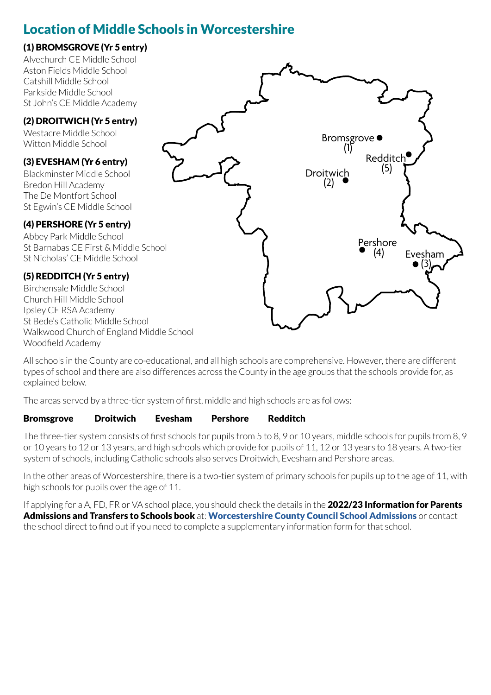## Location of Middle Schools in Worcestershire

#### (1) BROMSGROVE (Yr 5 entry)

Alvechurch CE Middle School Aston Fields Middle School Catshill Middle School Parkside Middle School St John's CE Middle Academy

#### (2) DROITWICH (Yr 5 entry)

Westacre Middle School Witton Middle School

#### (3) EVESHAM (Yr 6 entry)

Blackminster Middle School Bredon Hill Academy The De Montfort School St Egwin's CE Middle School

#### (4) PERSHORE (Yr 5 entry)

Abbey Park Middle School St Barnabas CE First & Middle School St Nicholas' CE Middle School

#### (5) REDDITCH (Yr 5 entry)

Birchensale Middle School Church Hill Middle School Ipsley CE RSA Academy St Bede's Catholic Middle School Walkwood Church of England Middle School Woodfield Academy



All schools in the County are co-educational, and all high schools are comprehensive. However, there are different types of school and there are also differences across the County in the age groups that the schools provide for, as explained below.

The areas served by a three-tier system of first, middle and high schools are as follows:

#### Bromsgrove Droitwich Evesham Pershore Redditch

The three-tier system consists of first schools for pupils from 5 to 8, 9 or 10 years, middle schools for pupils from 8, 9 or 10 years to 12 or 13 years, and high schools which provide for pupils of 11, 12 or 13 years to 18 years. A two-tier system of schools, including Catholic schools also serves Droitwich, Evesham and Pershore areas.

In the other areas of Worcestershire, there is a two-tier system of primary schools for pupils up to the age of 11, with high schools for pupils over the age of 11.

If applying for a A, FD, FR or VA school place, you should check the details in the 2022/23 Information for Parents Admissions and Transfers to Schools book at: [Worcestershire County Council School Admissions](http://www.worcestershire.gov.uk/schooladmissions) or contact the school direct to find out if you need to complete a supplementary information form for that school.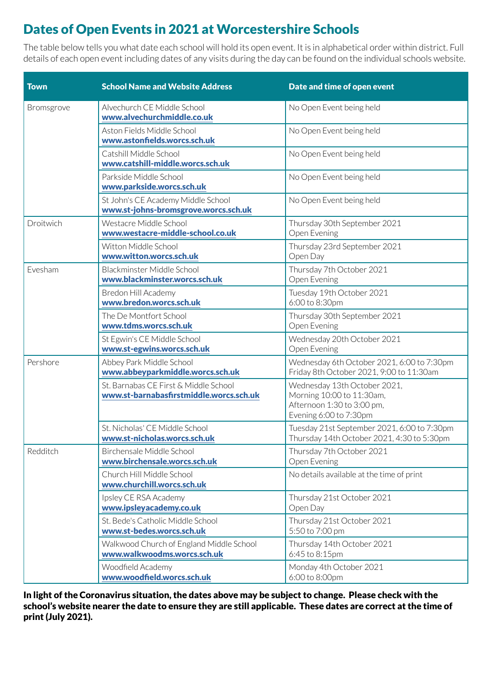# Dates of Open Events in 2021 at Worcestershire Schools

The table below tells you what date each school will hold its open event. It is in alphabetical order within district. Full details of each open event including dates of any visits during the day can be found on the individual schools website.

| <b>Town</b> | <b>School Name and Website Address</b>                                           | Date and time of open event                                                                                       |  |
|-------------|----------------------------------------------------------------------------------|-------------------------------------------------------------------------------------------------------------------|--|
| Bromsgrove  | Alvechurch CE Middle School<br>www.alvechurchmiddle.co.uk                        | No Open Event being held                                                                                          |  |
|             | Aston Fields Middle School<br>www.astonfields.worcs.sch.uk                       | No Open Event being held                                                                                          |  |
|             | Catshill Middle School<br>www.catshill-middle.worcs.sch.uk                       | No Open Event being held                                                                                          |  |
|             | Parkside Middle School<br>www.parkside.worcs.sch.uk                              | No Open Event being held                                                                                          |  |
|             | St John's CE Academy Middle School<br>www.st-johns-bromsgrove.worcs.sch.uk       | No Open Event being held                                                                                          |  |
| Droitwich   | Westacre Middle School<br>www.westacre-middle-school.co.uk                       | Thursday 30th September 2021<br>Open Evening                                                                      |  |
|             | Witton Middle School<br>www.witton.worcs.sch.uk                                  | Thursday 23rd September 2021<br>Open Day                                                                          |  |
| Evesham     | Blackminster Middle School<br>www.blackminster.worcs.sch.uk                      | Thursday 7th October 2021<br>Open Evening                                                                         |  |
|             | Bredon Hill Academy<br>www.bredon.worcs.sch.uk                                   | Tuesday 19th October 2021<br>6:00 to 8:30pm                                                                       |  |
|             | The De Montfort School<br>www.tdms.worcs.sch.uk                                  | Thursday 30th September 2021<br>Open Evening                                                                      |  |
|             | St Egwin's CE Middle School<br>www.st-egwins.worcs.sch.uk                        | Wednesday 20th October 2021<br>Open Evening                                                                       |  |
| Pershore    | Abbey Park Middle School<br>www.abbeyparkmiddle.worcs.sch.uk                     | Wednesday 6th October 2021, 6:00 to 7:30pm<br>Friday 8th October 2021, 9:00 to 11:30am                            |  |
|             | St. Barnabas CE First & Middle School<br>www.st-barnabasfirstmiddle.worcs.sch.uk | Wednesday 13th October 2021,<br>Morning 10:00 to 11:30am,<br>Afternoon 1:30 to 3:00 pm,<br>Evening 6:00 to 7:30pm |  |
|             | St. Nicholas' CE Middle School<br>www.st-nicholas.worcs.sch.uk                   | Tuesday 21st September 2021, 6:00 to 7:30pm<br>Thursday 14th October 2021, 4:30 to 5:30pm                         |  |
| Redditch    | Birchensale Middle School<br>www.birchensale.worcs.sch.uk                        | Thursday 7th October 2021<br>Open Evening                                                                         |  |
|             | Church Hill Middle School<br>www.churchill.worcs.sch.uk                          | No details available at the time of print                                                                         |  |
|             | Ipsley CE RSA Academy<br>www.ipsleyacademy.co.uk                                 | Thursday 21st October 2021<br>Open Day                                                                            |  |
|             | St. Bede's Catholic Middle School<br>www.st-bedes.worcs.sch.uk                   | Thursday 21st October 2021<br>5:50 to 7:00 pm                                                                     |  |
|             | Walkwood Church of England Middle School<br>www.walkwoodms.worcs.sch.uk          | Thursday 14th October 2021<br>6:45 to 8:15pm                                                                      |  |
|             | Woodfield Academy<br>www.woodfield.worcs.sch.uk                                  | Monday 4th October 2021<br>6:00 to 8:00pm                                                                         |  |

In light of the Coronavirus situation, the dates above may be subject to change. Please check with the school's website nearer the date to ensure they are still applicable. These dates are correct at the time of print (July 2021).